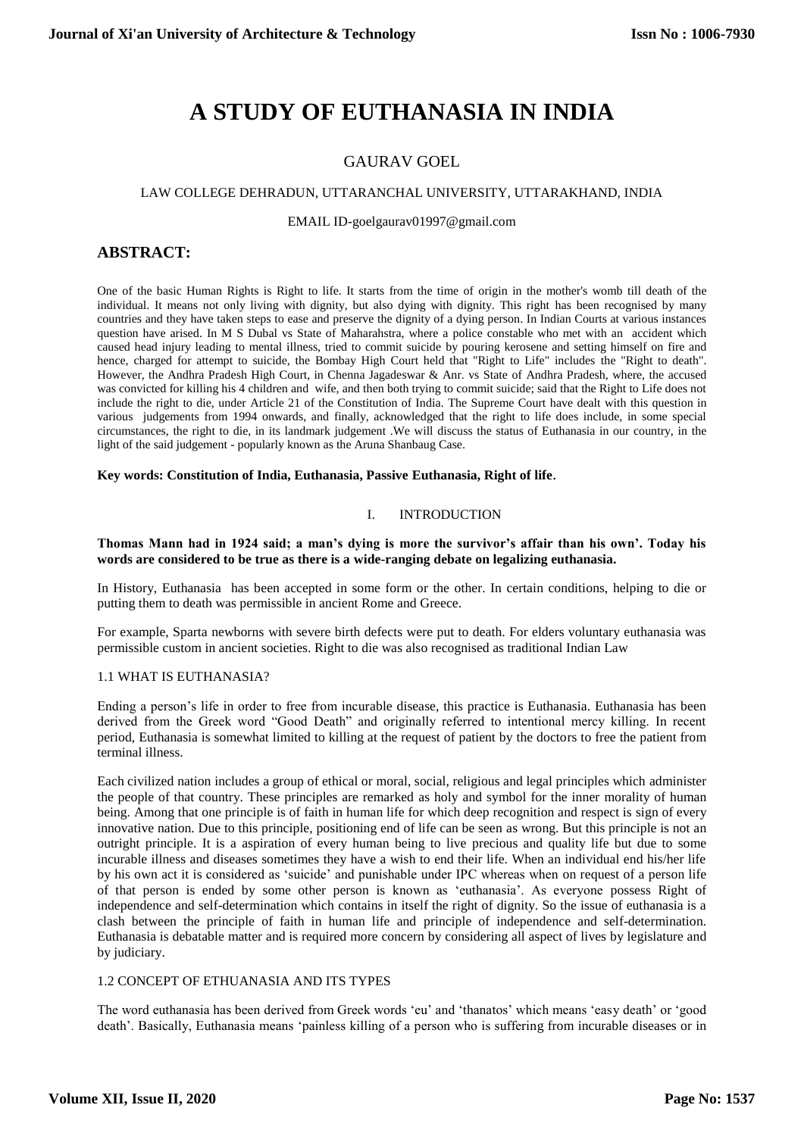# **A STUDY OF EUTHANASIA IN INDIA**

# GAURAV GOEL

## LAW COLLEGE DEHRADUN, UTTARANCHAL UNIVERSITY, UTTARAKHAND, INDIA

## EMAIL ID-goelgaurav01997@gmail.com

# **ABSTRACT:**

One of the basic Human Rights is Right to life. It starts from the time of origin in the mother's womb till death of the individual. It means not only living with dignity, but also dying with dignity. This right has been recognised by many countries and they have taken steps to ease and preserve the dignity of a dying person. In Indian Courts at various instances question have arised. In M S Dubal vs State of Maharahstra, where a police constable who met with an accident which caused head injury leading to mental illness, tried to commit suicide by pouring kerosene and setting himself on fire and hence, charged for attempt to suicide, the Bombay High Court held that "Right to Life" includes the "Right to death". However, the Andhra Pradesh High Court, in Chenna Jagadeswar & Anr. vs State of Andhra Pradesh, where, the accused was convicted for killing his 4 children and wife, and then both trying to commit suicide; said that the Right to Life does not include the right to die, under Article 21 of the Constitution of India. The Supreme Court have dealt with this question in various judgements from 1994 onwards, and finally, acknowledged that the right to life does include, in some special circumstances, the right to die, in its landmark judgement .We will discuss the status of Euthanasia in our country, in the light of the said judgement - popularly known as the Aruna Shanbaug Case.

## **Key words: Constitution of India, Euthanasia, Passive Euthanasia, Right of life**.

## I. INTRODUCTION

## **Thomas Mann had in 1924 said; a man's dying is more the survivor's affair than his own'. Today his words are considered to be true as there is a wide-ranging debate on legalizing euthanasia.**

In History, Euthanasia has been accepted in some form or the other. In certain conditions, helping to die or putting them to death was permissible in ancient Rome and Greece.

For example, Sparta newborns with severe birth defects were put to death. For elders voluntary euthanasia was permissible custom in ancient societies. Right to die was also recognised as traditional Indian Law

## 1.1 WHAT IS EUTHANASIA?

Ending a person's life in order to free from incurable disease, this practice is Euthanasia. Euthanasia has been derived from the Greek word "Good Death" and originally referred to intentional mercy killing. In recent period, Euthanasia is somewhat limited to killing at the request of patient by the doctors to free the patient from terminal illness.

Each civilized nation includes a group of ethical or moral, social, religious and legal principles which administer the people of that country. These principles are remarked as holy and symbol for the inner morality of human being. Among that one principle is of faith in human life for which deep recognition and respect is sign of every innovative nation. Due to this principle, positioning end of life can be seen as wrong. But this principle is not an outright principle. It is a aspiration of every human being to live precious and quality life but due to some incurable illness and diseases sometimes they have a wish to end their life. When an individual end his/her life by his own act it is considered as 'suicide' and punishable under IPC whereas when on request of a person life of that person is ended by some other person is known as 'euthanasia'. As everyone possess Right of independence and self-determination which contains in itself the right of dignity. So the issue of euthanasia is a clash between the principle of faith in human life and principle of independence and self-determination. Euthanasia is debatable matter and is required more concern by considering all aspect of lives by legislature and by judiciary.

## 1.2 CONCEPT OF ETHUANASIA AND ITS TYPES

The word euthanasia has been derived from Greek words 'eu' and 'thanatos' which means 'easy death' or 'good death'. Basically, Euthanasia means 'painless killing of a person who is suffering from incurable diseases or in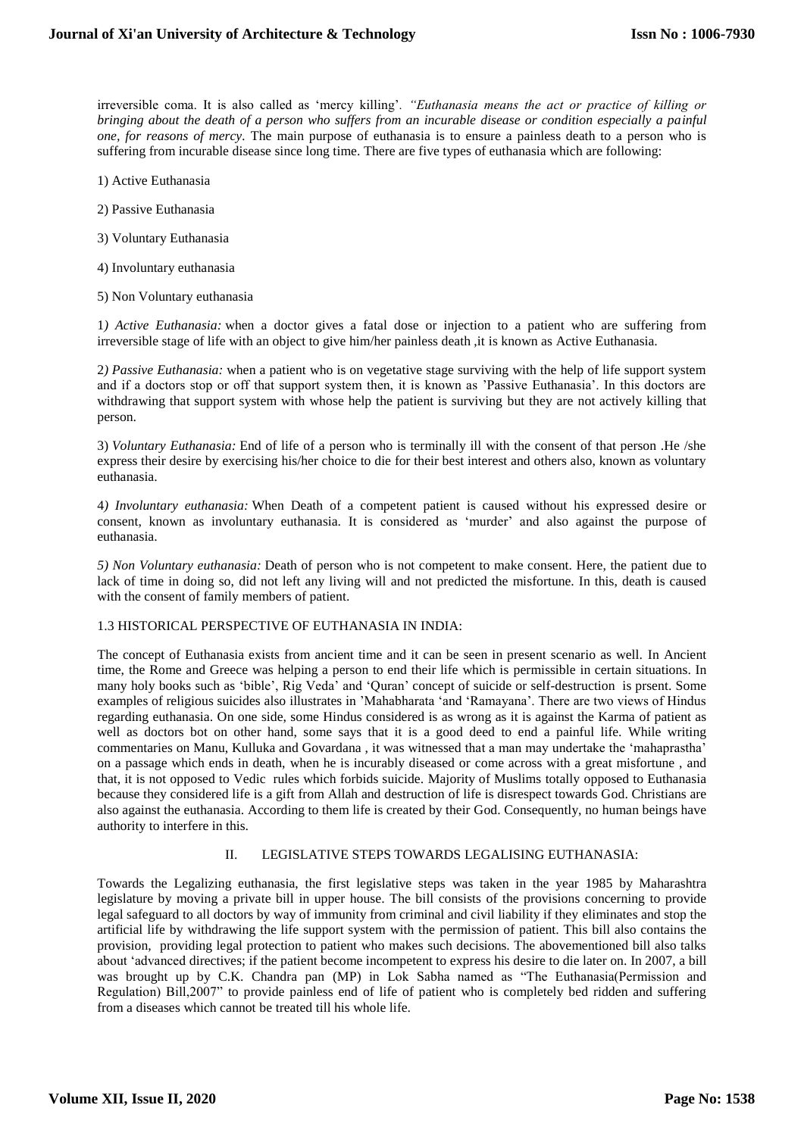irreversible coma. It is also called as 'mercy killing'*. "Euthanasia means the act or practice of killing or bringing about the death of a person who suffers from an incurable disease or condition especially a painful one, for reasons of mercy.* The main purpose of euthanasia is to ensure a painless death to a person who is suffering from incurable disease since long time. There are five types of euthanasia which are following:

- 1) Active Euthanasia
- 2) Passive Euthanasia
- 3) Voluntary Euthanasia
- 4) Involuntary euthanasia
- 5) Non Voluntary euthanasia

1*) Active Euthanasia:* when a doctor gives a fatal dose or injection to a patient who are suffering from irreversible stage of life with an object to give him/her painless death ,it is known as Active Euthanasia.

2*) Passive Euthanasia:* when a patient who is on vegetative stage surviving with the help of life support system and if a doctors stop or off that support system then, it is known as 'Passive Euthanasia'. In this doctors are withdrawing that support system with whose help the patient is surviving but they are not actively killing that person.

3) *Voluntary Euthanasia:* End of life of a person who is terminally ill with the consent of that person .He /she express their desire by exercising his/her choice to die for their best interest and others also, known as voluntary euthanasia.

4*) Involuntary euthanasia:* When Death of a competent patient is caused without his expressed desire or consent, known as involuntary euthanasia. It is considered as 'murder' and also against the purpose of euthanasia.

*5) Non Voluntary euthanasia:* Death of person who is not competent to make consent. Here, the patient due to lack of time in doing so, did not left any living will and not predicted the misfortune. In this, death is caused with the consent of family members of patient.

## 1.3 HISTORICAL PERSPECTIVE OF EUTHANASIA IN INDIA:

The concept of Euthanasia exists from ancient time and it can be seen in present scenario as well. In Ancient time, the Rome and Greece was helping a person to end their life which is permissible in certain situations. In many holy books such as 'bible', Rig Veda' and 'Quran' concept of suicide or self-destruction is prsent. Some examples of religious suicides also illustrates in 'Mahabharata 'and 'Ramayana'. There are two views of Hindus regarding euthanasia. On one side, some Hindus considered is as wrong as it is against the Karma of patient as well as doctors bot on other hand, some says that it is a good deed to end a painful life. While writing commentaries on Manu, Kulluka and Govardana , it was witnessed that a man may undertake the 'mahaprastha' on a passage which ends in death, when he is incurably diseased or come across with a great misfortune , and that, it is not opposed to Vedic rules which forbids suicide. Majority of Muslims totally opposed to Euthanasia because they considered life is a gift from Allah and destruction of life is disrespect towards God. Christians are also against the euthanasia. According to them life is created by their God. Consequently, no human beings have authority to interfere in this.

## II. LEGISLATIVE STEPS TOWARDS LEGALISING EUTHANASIA:

Towards the Legalizing euthanasia, the first legislative steps was taken in the year 1985 by Maharashtra legislature by moving a private bill in upper house. The bill consists of the provisions concerning to provide legal safeguard to all doctors by way of immunity from criminal and civil liability if they eliminates and stop the artificial life by withdrawing the life support system with the permission of patient. This bill also contains the provision, providing legal protection to patient who makes such decisions. The abovementioned bill also talks about 'advanced directives; if the patient become incompetent to express his desire to die later on. In 2007, a bill was brought up by C.K. Chandra pan (MP) in Lok Sabha named as "The Euthanasia(Permission and Regulation) Bill,2007" to provide painless end of life of patient who is completely bed ridden and suffering from a diseases which cannot be treated till his whole life.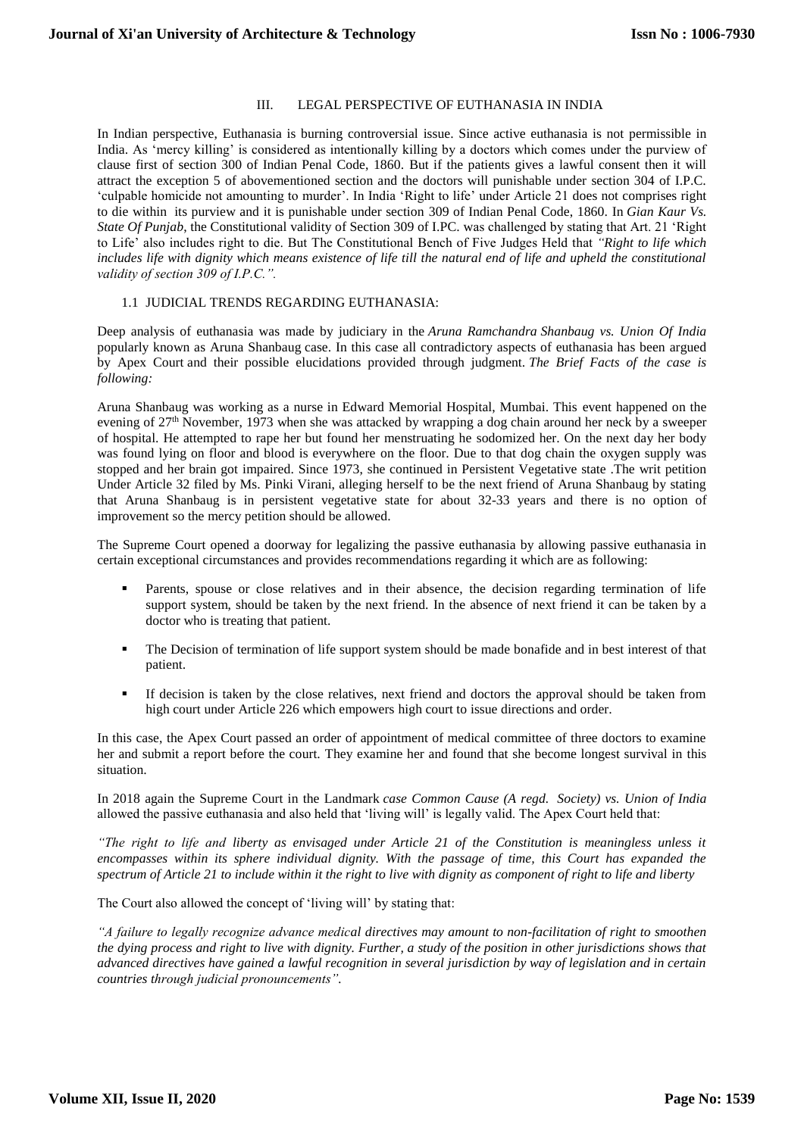## III. LEGAL PERSPECTIVE OF EUTHANASIA IN INDIA

In Indian perspective, Euthanasia is burning controversial issue. Since active euthanasia is not permissible in India. As 'mercy killing' is considered as intentionally killing by a doctors which comes under the purview of clause first of section 300 of Indian Penal Code, 1860. But if the patients gives a lawful consent then it will attract the exception 5 of abovementioned section and the doctors will punishable under section 304 of I.P.C. 'culpable homicide not amounting to murder'. In India 'Right to life' under Article 21 does not comprises right to die within its purview and it is punishable under section 309 of Indian Penal Code, 1860. In *Gian Kaur Vs. State Of Punjab*, the Constitutional validity of Section 309 of I.PC. was challenged by stating that Art. 21 'Right to Life' also includes right to die. But The Constitutional Bench of Five Judges Held that *"Right to life which*  includes life with dignity which means existence of life till the natural end of life and upheld the constitutional *validity of section 309 of I.P.C.".*

## 1.1 JUDICIAL TRENDS REGARDING EUTHANASIA:

Deep analysis of euthanasia was made by judiciary in the *Aruna Ramchandra Shanbaug vs. Union Of India* popularly known as Aruna Shanbaug case. In this case all contradictory aspects of euthanasia has been argued by Apex Court and their possible elucidations provided through judgment. *The Brief Facts of the case is following:*

Aruna Shanbaug was working as a nurse in Edward Memorial Hospital, Mumbai. This event happened on the evening of 27<sup>th</sup> November, 1973 when she was attacked by wrapping a dog chain around her neck by a sweeper of hospital. He attempted to rape her but found her menstruating he sodomized her. On the next day her body was found lying on floor and blood is everywhere on the floor. Due to that dog chain the oxygen supply was stopped and her brain got impaired. Since 1973, she continued in Persistent Vegetative state .The writ petition Under Article 32 filed by Ms. Pinki Virani, alleging herself to be the next friend of Aruna Shanbaug by stating that Aruna Shanbaug is in persistent vegetative state for about 32-33 years and there is no option of improvement so the mercy petition should be allowed.

The Supreme Court opened a doorway for legalizing the passive euthanasia by allowing passive euthanasia in certain exceptional circumstances and provides recommendations regarding it which are as following:

- Parents, spouse or close relatives and in their absence, the decision regarding termination of life support system, should be taken by the next friend. In the absence of next friend it can be taken by a doctor who is treating that patient.
- The Decision of termination of life support system should be made bonafide and in best interest of that patient.
- If decision is taken by the close relatives, next friend and doctors the approval should be taken from high court under Article 226 which empowers high court to issue directions and order.

In this case, the Apex Court passed an order of appointment of medical committee of three doctors to examine her and submit a report before the court. They examine her and found that she become longest survival in this situation.

In 2018 again the Supreme Court in the Landmark *case Common Cause (A regd. Society) vs. Union of India* allowed the passive euthanasia and also held that 'living will' is legally valid. The Apex Court held that:

*"The right to life and liberty as envisaged under Article 21 of the Constitution is meaningless unless it encompasses within its sphere individual dignity. With the passage of time, this Court has expanded the spectrum of Article 21 to include within it the right to live with dignity as component of right to life and liberty*

The Court also allowed the concept of 'living will' by stating that:

*"A failure to legally recognize advance medical directives may amount to non-facilitation of right to smoothen the dying process and right to live with dignity. Further, a study of the position in other jurisdictions shows that advanced directives have gained a lawful recognition in several jurisdiction by way of legislation and in certain countries through judicial pronouncements".*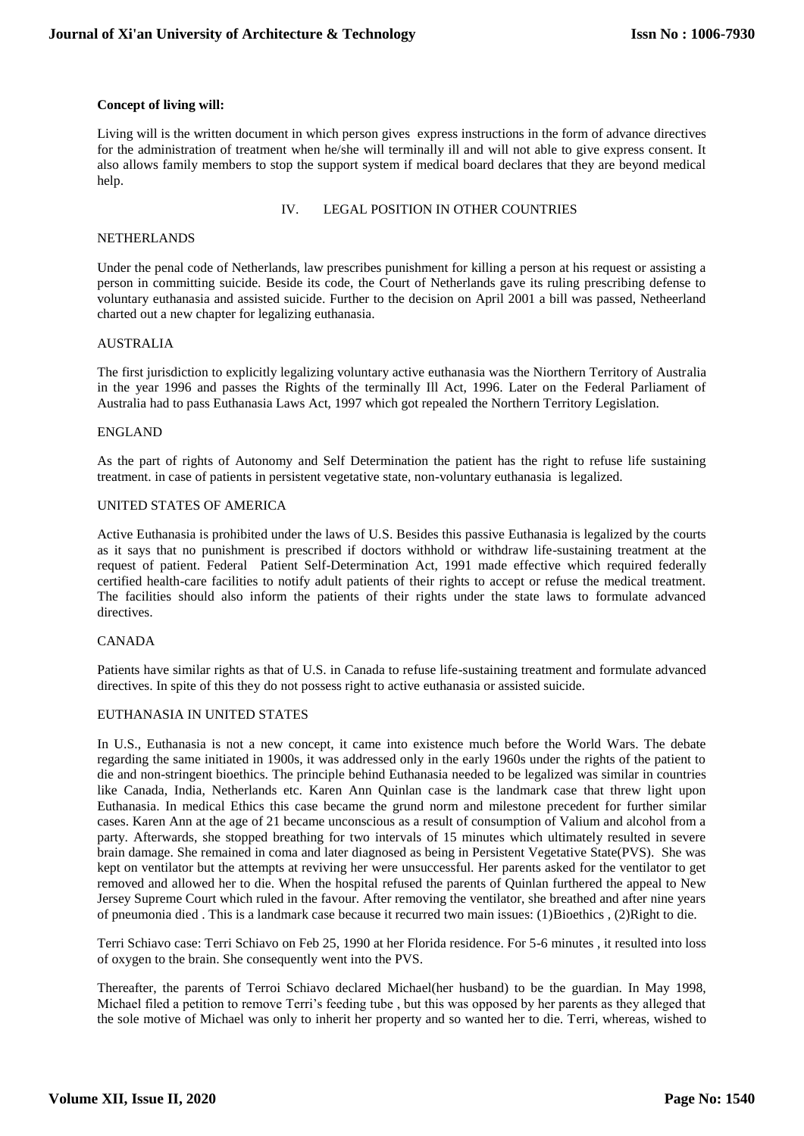## **Concept of living will:**

Living will is the written document in which person gives express instructions in the form of advance directives for the administration of treatment when he/she will terminally ill and will not able to give express consent. It also allows family members to stop the support system if medical board declares that they are beyond medical help.

IV. LEGAL POSITION IN OTHER COUNTRIES

#### NETHERLANDS

Under the penal code of Netherlands, law prescribes punishment for killing a person at his request or assisting a person in committing suicide. Beside its code, the Court of Netherlands gave its ruling prescribing defense to voluntary euthanasia and assisted suicide. Further to the decision on April 2001 a bill was passed, Netheerland charted out a new chapter for legalizing euthanasia.

## AUSTRALIA

The first jurisdiction to explicitly legalizing voluntary active euthanasia was the Niorthern Territory of Australia in the year 1996 and passes the Rights of the terminally Ill Act, 1996. Later on the Federal Parliament of Australia had to pass Euthanasia Laws Act, 1997 which got repealed the Northern Territory Legislation.

## ENGLAND

As the part of rights of Autonomy and Self Determination the patient has the right to refuse life sustaining treatment. in case of patients in persistent vegetative state, non-voluntary euthanasia is legalized.

#### UNITED STATES OF AMERICA

Active Euthanasia is prohibited under the laws of U.S. Besides this passive Euthanasia is legalized by the courts as it says that no punishment is prescribed if doctors withhold or withdraw life-sustaining treatment at the request of patient. Federal Patient Self-Determination Act, 1991 made effective which required federally certified health-care facilities to notify adult patients of their rights to accept or refuse the medical treatment. The facilities should also inform the patients of their rights under the state laws to formulate advanced directives.

## CANADA

Patients have similar rights as that of U.S. in Canada to refuse life-sustaining treatment and formulate advanced directives. In spite of this they do not possess right to active euthanasia or assisted suicide.

## EUTHANASIA IN UNITED STATES

In U.S., Euthanasia is not a new concept, it came into existence much before the World Wars. The debate regarding the same initiated in 1900s, it was addressed only in the early 1960s under the rights of the patient to die and non-stringent bioethics. The principle behind Euthanasia needed to be legalized was similar in countries like Canada, India, Netherlands etc. Karen Ann Quinlan case is the landmark case that threw light upon Euthanasia. In medical Ethics this case became the grund norm and milestone precedent for further similar cases. Karen Ann at the age of 21 became unconscious as a result of consumption of Valium and alcohol from a party. Afterwards, she stopped breathing for two intervals of 15 minutes which ultimately resulted in severe brain damage. She remained in coma and later diagnosed as being in Persistent Vegetative State(PVS). She was kept on ventilator but the attempts at reviving her were unsuccessful. Her parents asked for the ventilator to get removed and allowed her to die. When the hospital refused the parents of Quinlan furthered the appeal to New Jersey Supreme Court which ruled in the favour. After removing the ventilator, she breathed and after nine years of pneumonia died . This is a landmark case because it recurred two main issues: (1)Bioethics , (2)Right to die.

Terri Schiavo case: Terri Schiavo on Feb 25, 1990 at her Florida residence. For 5-6 minutes , it resulted into loss of oxygen to the brain. She consequently went into the PVS.

Thereafter, the parents of Terroi Schiavo declared Michael(her husband) to be the guardian. In May 1998, Michael filed a petition to remove Terri's feeding tube , but this was opposed by her parents as they alleged that the sole motive of Michael was only to inherit her property and so wanted her to die. Terri, whereas, wished to